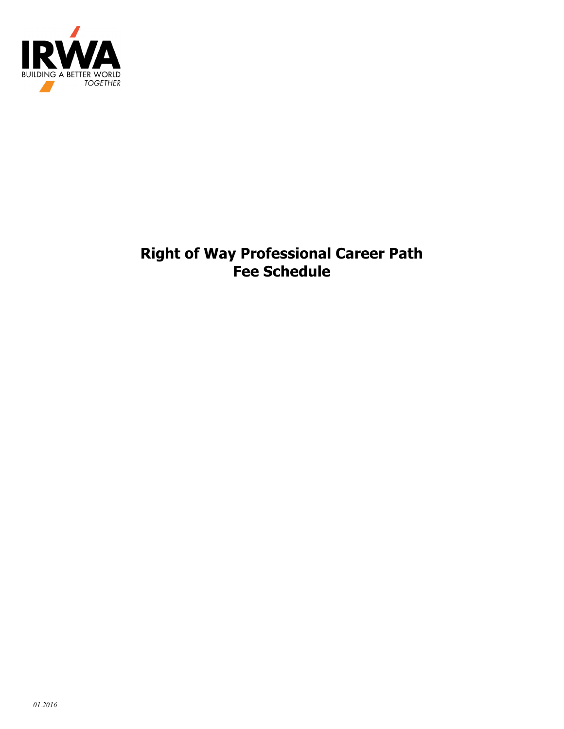

# **Right of Way Professional Career Path Fee Schedule**